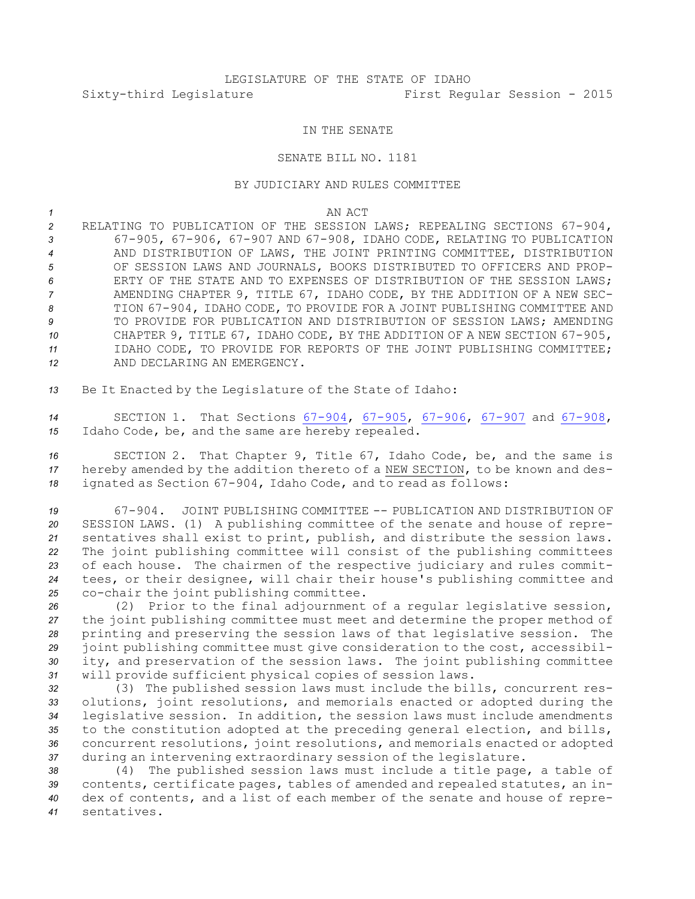## IN THE SENATE

## SENATE BILL NO. 1181

## BY JUDICIARY AND RULES COMMITTEE

*1* AN ACT

 RELATING TO PUBLICATION OF THE SESSION LAWS; REPEALING SECTIONS 67-904, 67-905, 67-906, 67-907 AND 67-908, IDAHO CODE, RELATING TO PUBLICATION AND DISTRIBUTION OF LAWS, THE JOINT PRINTING COMMITTEE, DISTRIBUTION OF SESSION LAWS AND JOURNALS, BOOKS DISTRIBUTED TO OFFICERS AND PROP- ERTY OF THE STATE AND TO EXPENSES OF DISTRIBUTION OF THE SESSION LAWS; AMENDING CHAPTER 9, TITLE 67, IDAHO CODE, BY THE ADDITION OF A NEW SEC- TION 67-904, IDAHO CODE, TO PROVIDE FOR A JOINT PUBLISHING COMMITTEE AND 9 TO PROVIDE FOR PUBLICATION AND DISTRIBUTION OF SESSION LAWS; AMENDING CHAPTER 9, TITLE 67, IDAHO CODE, BY THE ADDITION OF A NEW SECTION 67-905, IDAHO CODE, TO PROVIDE FOR REPORTS OF THE JOINT PUBLISHING COMMITTEE; 12 AND DECLARING AN EMERGENCY.

*<sup>13</sup>* Be It Enacted by the Legislature of the State of Idaho:

*<sup>14</sup>* SECTION 1. That Sections [67-904](http://www.legislature.idaho.gov/idstat/Title67/T67CH9SECT67-904.htm), [67-905](http://www.legislature.idaho.gov/idstat/Title67/T67CH9SECT67-905.htm), [67-906](http://www.legislature.idaho.gov/idstat/Title67/T67CH9SECT67-906.htm), [67-907](http://www.legislature.idaho.gov/idstat/Title67/T67CH9SECT67-907.htm) and [67-908](http://www.legislature.idaho.gov/idstat/Title67/T67CH9SECT67-908.htm), *<sup>15</sup>* Idaho Code, be, and the same are hereby repealed.

*<sup>16</sup>* SECTION 2. That Chapter 9, Title 67, Idaho Code, be, and the same is *<sup>17</sup>* hereby amended by the addition thereto of <sup>a</sup> NEW SECTION, to be known and des-*<sup>18</sup>* ignated as Section 67-904, Idaho Code, and to read as follows:

 67-904. JOINT PUBLISHING COMMITTEE -- PUBLICATION AND DISTRIBUTION OF SESSION LAWS. (1) <sup>A</sup> publishing committee of the senate and house of repre- sentatives shall exist to print, publish, and distribute the session laws. The joint publishing committee will consist of the publishing committees of each house. The chairmen of the respective judiciary and rules commit- tees, or their designee, will chair their house's publishing committee and co-chair the joint publishing committee.

 (2) Prior to the final adjournment of <sup>a</sup> regular legislative session, the joint publishing committee must meet and determine the proper method of printing and preserving the session laws of that legislative session. The joint publishing committee must give consideration to the cost, accessibil- ity, and preservation of the session laws. The joint publishing committee will provide sufficient physical copies of session laws.

 (3) The published session laws must include the bills, concurrent res- olutions, joint resolutions, and memorials enacted or adopted during the legislative session. In addition, the session laws must include amendments to the constitution adopted at the preceding general election, and bills, concurrent resolutions, joint resolutions, and memorials enacted or adopted during an intervening extraordinary session of the legislature.

 (4) The published session laws must include <sup>a</sup> title page, <sup>a</sup> table of contents, certificate pages, tables of amended and repealed statutes, an in- dex of contents, and <sup>a</sup> list of each member of the senate and house of repre-sentatives.